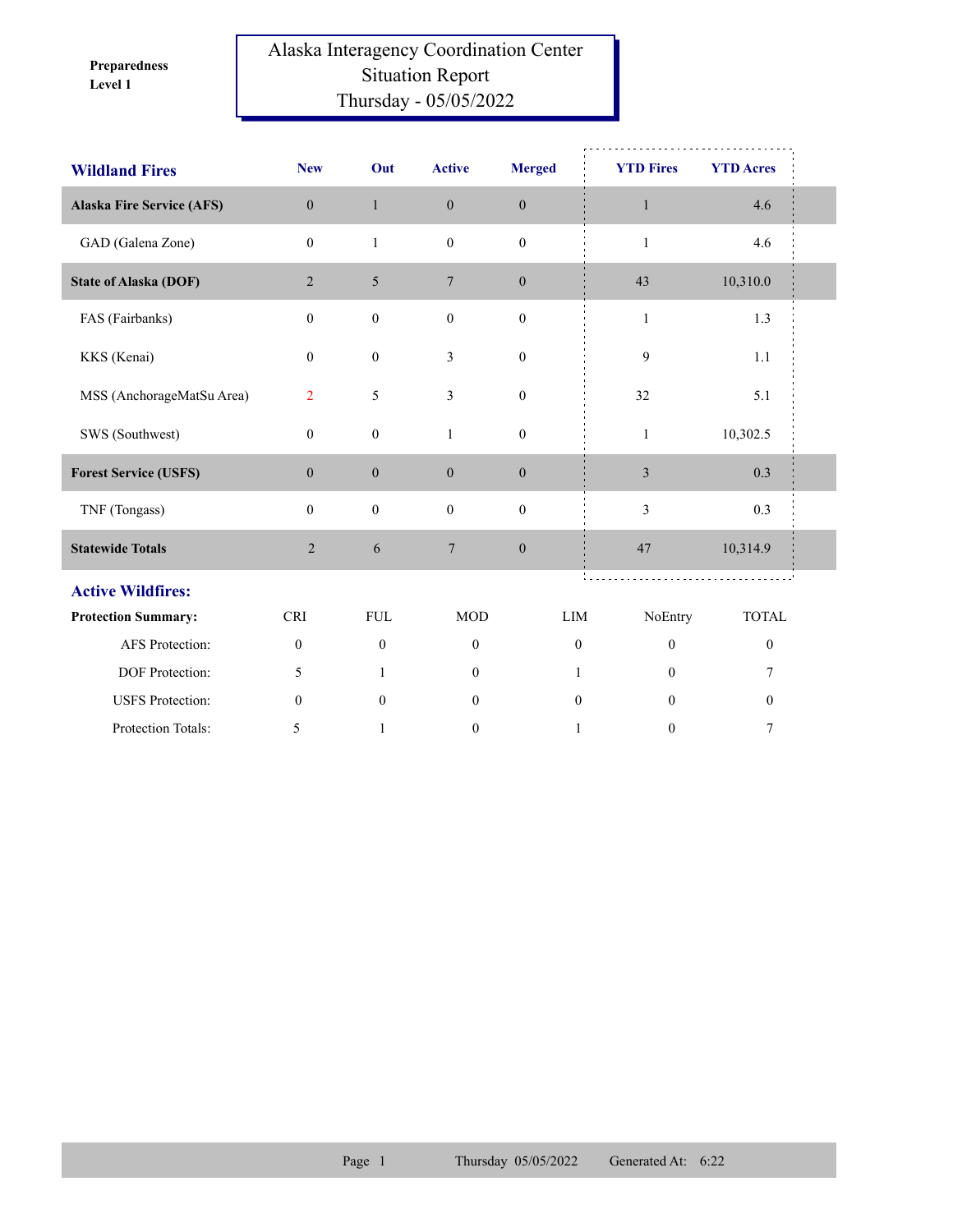**Level 1 Preparedness** 

## Alaska Interagency Coordination Center Situation Report Thursday - 05/05/2022

| <b>Wildland Fires</b>            | <b>New</b>       | Out              | <b>Active</b>    | <b>Merged</b>               | <b>YTD Fires</b> | <b>YTD</b> Acres |  |  |
|----------------------------------|------------------|------------------|------------------|-----------------------------|------------------|------------------|--|--|
| <b>Alaska Fire Service (AFS)</b> | $\overline{0}$   | $\mathbf{1}$     | $\mathbf{0}$     | $\boldsymbol{0}$            | $\mathbf{1}$     | 4.6              |  |  |
| GAD (Galena Zone)                | $\mathbf{0}$     | $\mathbf{1}$     | $\mathbf{0}$     | $\boldsymbol{0}$            | $\mathbf{1}$     | 4.6              |  |  |
| <b>State of Alaska (DOF)</b>     | 2                | 5                | $7\phantom{.0}$  | $\boldsymbol{0}$            | 43               | 10,310.0         |  |  |
| FAS (Fairbanks)                  | $\mathbf{0}$     | $\boldsymbol{0}$ | $\boldsymbol{0}$ | $\mathbf{0}$                | $\mathbf{1}$     | 1.3              |  |  |
| KKS (Kenai)                      | $\mathbf{0}$     | $\boldsymbol{0}$ | $\overline{3}$   | $\mathbf{0}$                | 9                | 1.1              |  |  |
| MSS (AnchorageMatSu Area)        | $\overline{2}$   | $\sqrt{5}$       | 3                | $\boldsymbol{0}$            | 32               | 5.1              |  |  |
| SWS (Southwest)                  | $\boldsymbol{0}$ | $\boldsymbol{0}$ | $\mathbf{1}$     | $\boldsymbol{0}$            | $\mathbf{1}$     | 10,302.5         |  |  |
| <b>Forest Service (USFS)</b>     | $\boldsymbol{0}$ | $\boldsymbol{0}$ | $\overline{0}$   | $\boldsymbol{0}$            | $\mathfrak{Z}$   | 0.3              |  |  |
| TNF (Tongass)                    | $\mathbf{0}$     | $\boldsymbol{0}$ | $\mathbf{0}$     | $\boldsymbol{0}$            | 3                | 0.3              |  |  |
| <b>Statewide Totals</b>          | $\sqrt{2}$       | 6                | $\overline{7}$   | $\boldsymbol{0}$            | 47               | 10,314.9         |  |  |
| <b>Active Wildfires:</b>         |                  |                  |                  |                             |                  |                  |  |  |
| <b>Protection Summary:</b>       | <b>CRI</b>       | ${\rm FUL}$      | <b>MOD</b>       | $\mathop{\rm LIM}\nolimits$ | NoEntry          | <b>TOTAL</b>     |  |  |
| AFS Protection:                  | $\mathbf{0}$     | $\mathbf{0}$     | $\overline{0}$   | $\mathbf{0}$                | $\mathbf{0}$     | $\boldsymbol{0}$ |  |  |
| DOF Protection:                  | 5                | $\mathbf{1}$     | $\overline{0}$   | 1                           | $\theta$         | 7                |  |  |
| <b>USFS</b> Protection:          | $\mathbf{0}$     | $\mathbf{0}$     | $\mathbf{0}$     | $\mathbf{0}$                | $\theta$         | $\boldsymbol{0}$ |  |  |
| Protection Totals:               | 5                | 1                | $\boldsymbol{0}$ | 1                           | $\boldsymbol{0}$ | $\tau$           |  |  |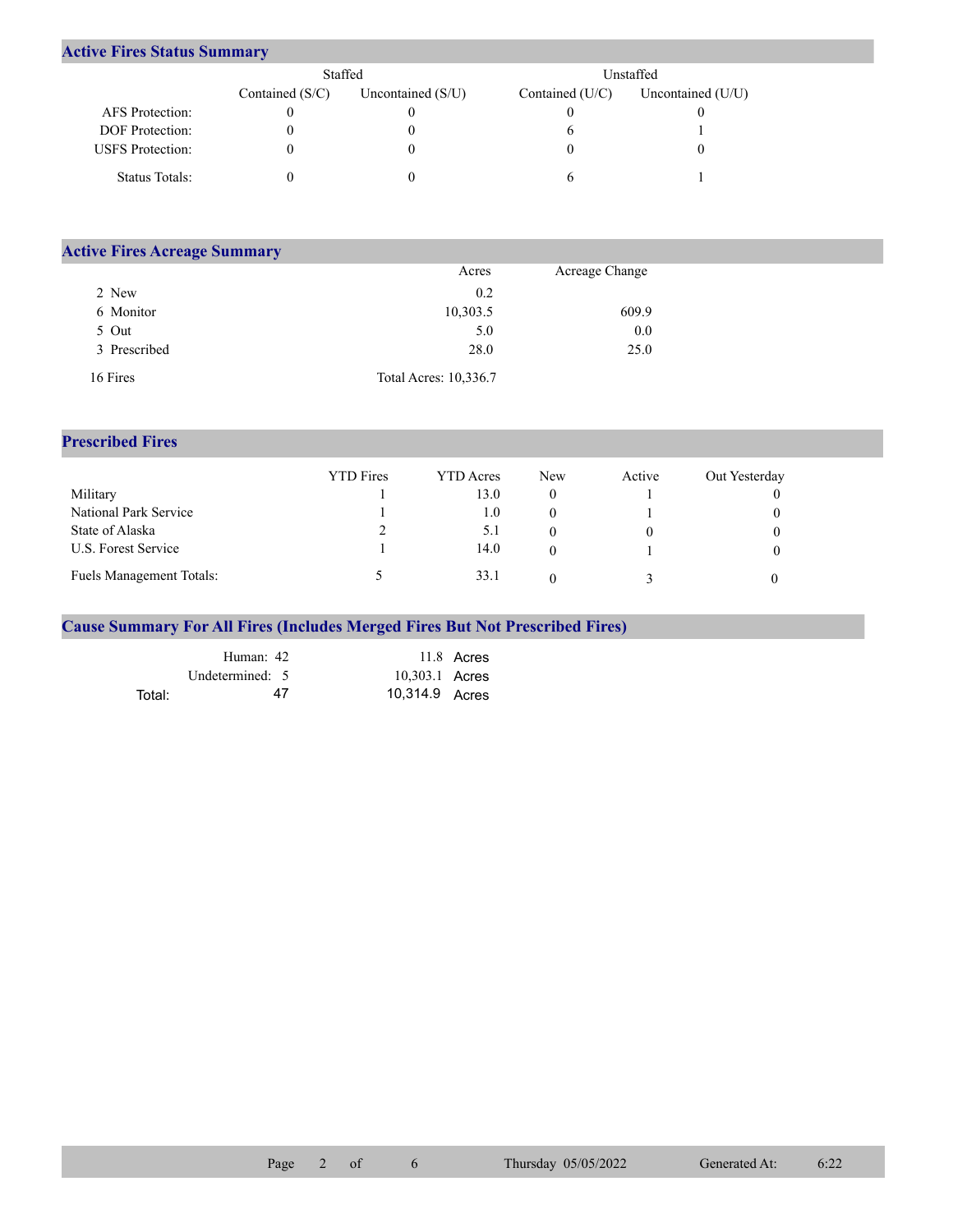## **Active Fires Status Summary**

|                         | Staffed         |                     | Unstaffed       |                     |  |  |
|-------------------------|-----------------|---------------------|-----------------|---------------------|--|--|
|                         | Contained (S/C) | Uncontained $(S/U)$ | Contained (U/C) | Uncontained $(U/U)$ |  |  |
| AFS Protection:         |                 |                     |                 |                     |  |  |
| <b>DOF</b> Protection:  |                 |                     |                 |                     |  |  |
| <b>USFS</b> Protection: |                 |                     |                 |                     |  |  |
| Status Totals:          |                 |                     |                 |                     |  |  |

| <b>Active Fires Acreage Summary</b> |                       |                |  |  |  |  |  |
|-------------------------------------|-----------------------|----------------|--|--|--|--|--|
|                                     | Acres                 | Acreage Change |  |  |  |  |  |
| 2 New                               | 0.2                   |                |  |  |  |  |  |
| 6 Monitor                           | 10,303.5              | 609.9          |  |  |  |  |  |
| 5 Out                               | 5.0                   | 0.0            |  |  |  |  |  |
| 3 Prescribed                        | 28.0                  | 25.0           |  |  |  |  |  |
| 16 Fires                            | Total Acres: 10,336.7 |                |  |  |  |  |  |

## **Prescribed Fires**

|                                 | <b>YTD</b> Fires | <b>YTD</b> Acres | <b>New</b> | Active | Out Yesterday |
|---------------------------------|------------------|------------------|------------|--------|---------------|
| Military                        |                  | 13.0             |            |        |               |
| National Park Service           |                  | $1.0\,$          |            |        |               |
| State of Alaska                 |                  | 5.1              |            |        |               |
| U.S. Forest Service             |                  | 14.0             |            |        |               |
| <b>Fuels Management Totals:</b> |                  | 33.1             |            |        |               |

## **Cause Summary For All Fires (Includes Merged Fires But Not Prescribed Fires)**

|        | Human: 42       |                | 11.8 Acres |
|--------|-----------------|----------------|------------|
|        | Undetermined: 5 | 10,303.1 Acres |            |
| Total: | 47              | 10,314.9 Acres |            |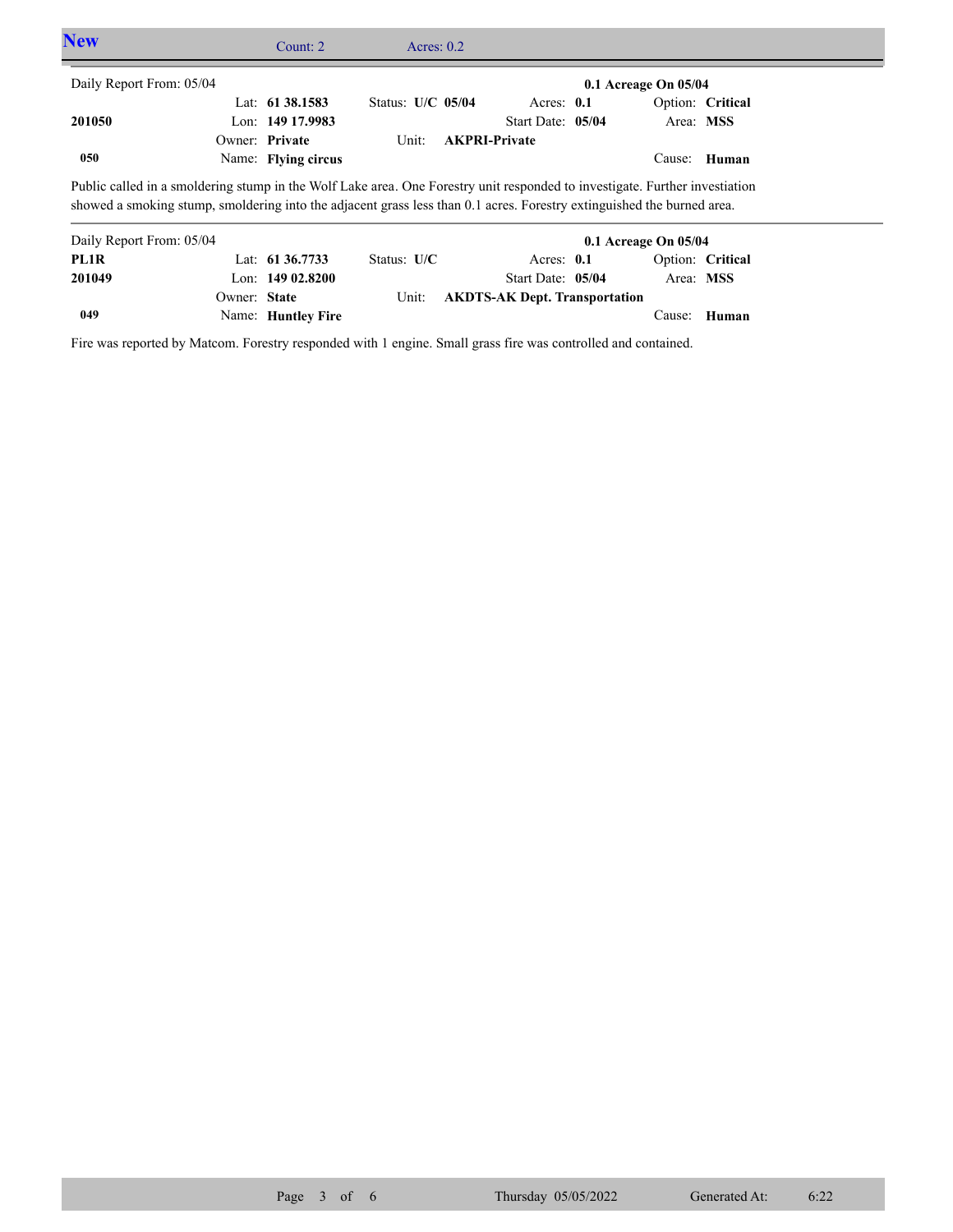| <b>New</b>               | Count: $2^{\circ}$                                                                                                                                                                                                                                    | Acres: $0.2$        |                                      |                          |                  |  |
|--------------------------|-------------------------------------------------------------------------------------------------------------------------------------------------------------------------------------------------------------------------------------------------------|---------------------|--------------------------------------|--------------------------|------------------|--|
| Daily Report From: 05/04 |                                                                                                                                                                                                                                                       |                     |                                      | $0.1$ Acreage On $05/04$ |                  |  |
|                          | Lat: 61 38.1583                                                                                                                                                                                                                                       | Status: $U/C$ 05/04 | Acres: $0.1$                         |                          | Option: Critical |  |
| 201050                   | Lon: 149 17.9983                                                                                                                                                                                                                                      |                     | Start Date: 05/04                    | Area: MSS                |                  |  |
|                          | Owner: Private                                                                                                                                                                                                                                        | Unit:               | <b>AKPRI-Private</b>                 |                          |                  |  |
| 050                      | Name: Flying circus                                                                                                                                                                                                                                   |                     |                                      |                          | Cause: Human     |  |
|                          | Public called in a smoldering stump in the Wolf Lake area. One Forestry unit responded to investigate. Further investiation<br>showed a smoking stump, smoldering into the adjacent grass less than 0.1 acres. Forestry extinguished the burned area. |                     |                                      |                          |                  |  |
| Daily Report From: 05/04 |                                                                                                                                                                                                                                                       |                     |                                      | $0.1$ Acreage On $05/04$ |                  |  |
| PL1R                     | Lat: 61 36.7733                                                                                                                                                                                                                                       | Status: U/C         | Acres: $0.1$                         |                          | Option: Critical |  |
| 201049                   | Lon: $14902.8200$                                                                                                                                                                                                                                     |                     | Start Date: 05/04                    | Area: MSS                |                  |  |
|                          | Owner: State                                                                                                                                                                                                                                          | Unit:               | <b>AKDTS-AK Dept. Transportation</b> |                          |                  |  |

Name: **Huntley Fire**

Fire was reported by Matcom. Forestry responded with 1 engine. Small grass fire was controlled and contained.

**049**

Cause: **Human**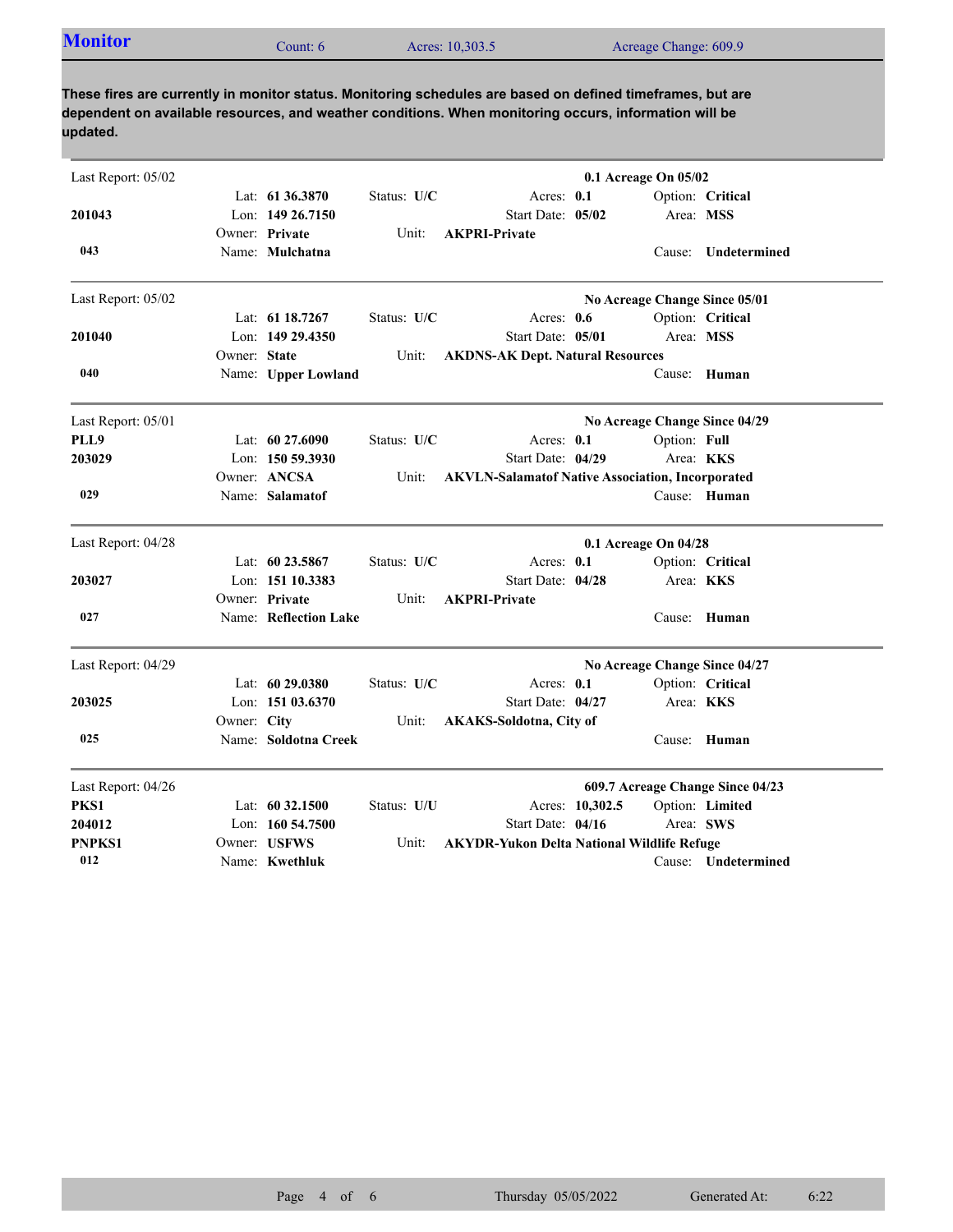| <b>Monitor</b> | Count: $61$ | Acres: 10,303.5 | Acreage Change: 609.9 |
|----------------|-------------|-----------------|-----------------------|

**These fires are currently in monitor status. Monitoring schedules are based on defined timeframes, but are dependent on available resources, and weather conditions. When monitoring occurs, information will be updated.**

| Last Report: 05/02 |              |                       |             |                                                         |                 | 0.1 Acreage On 05/02 |                                  |
|--------------------|--------------|-----------------------|-------------|---------------------------------------------------------|-----------------|----------------------|----------------------------------|
|                    |              | Lat: $61\,36.3870$    | Status: U/C | Acres: $0.1$                                            |                 |                      | Option: Critical                 |
| 201043             |              | Lon: $14926.7150$     |             | Start Date: 05/02                                       |                 |                      | Area: MSS                        |
|                    |              | Owner: Private        | Unit:       | <b>AKPRI-Private</b>                                    |                 |                      |                                  |
| 043                |              | Name: Mulchatna       |             |                                                         |                 |                      | Cause: Undetermined              |
| Last Report: 05/02 |              |                       |             |                                                         |                 |                      | No Acreage Change Since 05/01    |
|                    |              | Lat: 61 18.7267       | Status: U/C | Acres: $0.6$                                            |                 |                      | Option: Critical                 |
| 201040             |              | Lon: $14929.4350$     |             | Start Date: 05/01                                       |                 |                      | Area: MSS                        |
|                    | Owner: State |                       | Unit:       | <b>AKDNS-AK Dept. Natural Resources</b>                 |                 |                      |                                  |
| 040                |              | Name: Upper Lowland   |             |                                                         |                 |                      | Cause: Human                     |
| Last Report: 05/01 |              |                       |             |                                                         |                 |                      | No Acreage Change Since 04/29    |
| PLL9               |              | Lat: 60 27.6090       | Status: U/C | Acres: 0.1                                              |                 | Option: Full         |                                  |
| 203029             |              | Lon: $150,59,3930$    |             | Start Date: 04/29                                       |                 |                      | Area: KKS                        |
|                    |              | Owner: ANCSA          | Unit:       | <b>AKVLN-Salamatof Native Association, Incorporated</b> |                 |                      |                                  |
| 029                |              | Name: Salamatof       |             |                                                         |                 |                      | Cause: Human                     |
| Last Report: 04/28 |              |                       |             |                                                         |                 | 0.1 Acreage On 04/28 |                                  |
|                    |              | Lat: 60 23.5867       | Status: U/C | Acres: 0.1                                              |                 |                      | Option: Critical                 |
| 203027             |              | Lon: 151 10.3383      |             | Start Date: 04/28                                       |                 |                      | Area: KKS                        |
|                    |              | Owner: Private        | Unit:       | <b>AKPRI-Private</b>                                    |                 |                      |                                  |
| 027                |              | Name: Reflection Lake |             |                                                         |                 | Cause:               | Human                            |
| Last Report: 04/29 |              |                       |             |                                                         |                 |                      | No Acreage Change Since 04/27    |
|                    |              | Lat: $6029.0380$      | Status: U/C | Acres: 0.1                                              |                 |                      | Option: Critical                 |
| 203025             |              | Lon: 151 03.6370      |             | Start Date: 04/27                                       |                 |                      | Area: KKS                        |
|                    | Owner: City  |                       | Unit:       | AKAKS-Soldotna, City of                                 |                 |                      |                                  |
| 025                |              | Name: Soldotna Creek  |             |                                                         |                 | Cause:               | Human                            |
| Last Report: 04/26 |              |                       |             |                                                         |                 |                      | 609.7 Acreage Change Since 04/23 |
| PKS1               |              | Lat: $60\,32.1500$    | Status: U/U |                                                         | Acres: 10,302.5 |                      | Option: Limited                  |
| 204012             |              | Lon: $160\,54.7500$   |             | Start Date: 04/16                                       |                 |                      | Area: SWS                        |
| <b>PNPKS1</b>      |              | Owner: USFWS          | Unit:       | <b>AKYDR-Yukon Delta National Wildlife Refuge</b>       |                 |                      |                                  |
| 012                |              | Name: Kwethluk        |             |                                                         |                 |                      | Cause: Undetermined              |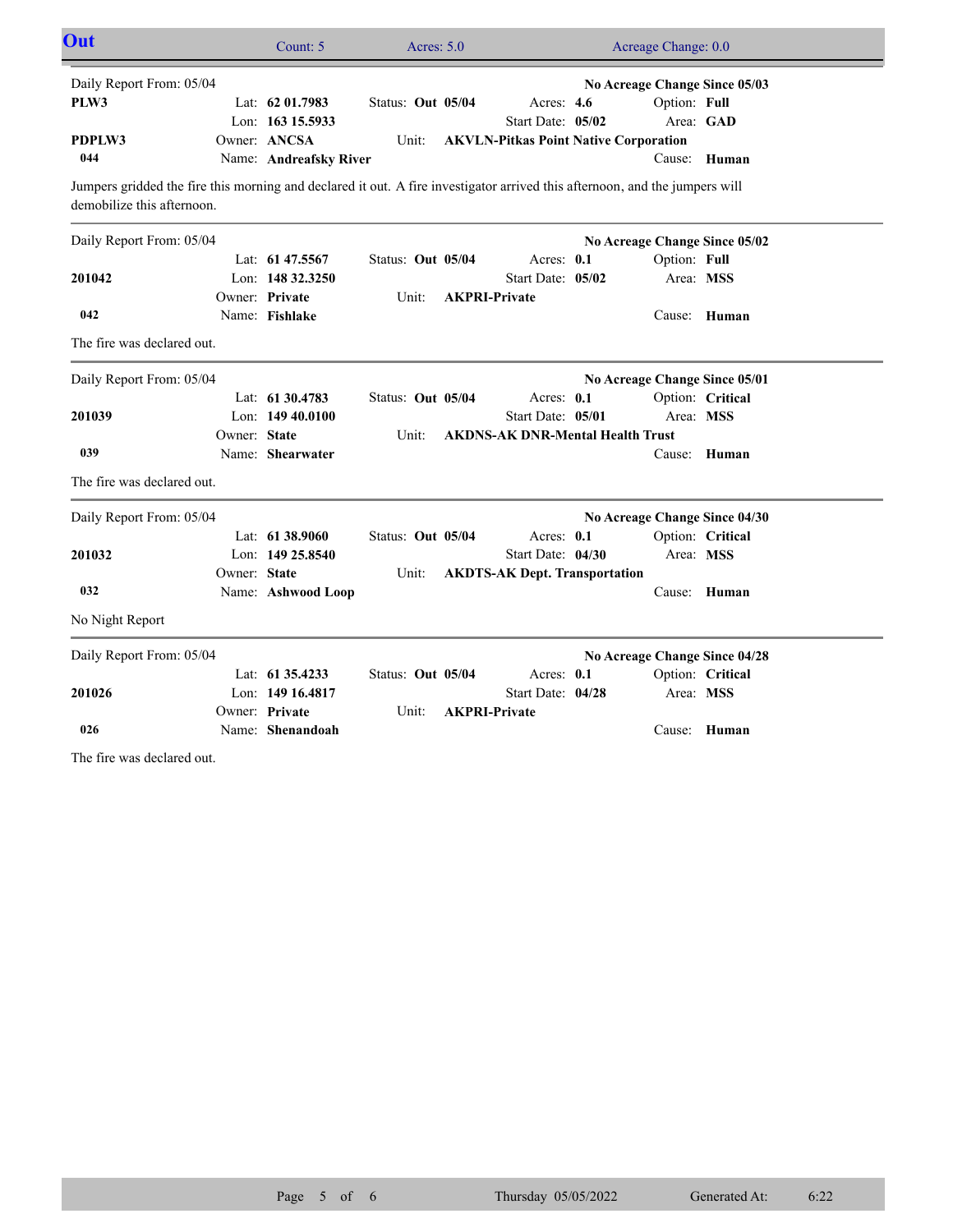| Out                                                                                                                                                       |              | Count: 5               | Acres: $5.0$      |  | Acreage Change: 0.0                          |  |                               |                  |  |  |  |  |  |  |
|-----------------------------------------------------------------------------------------------------------------------------------------------------------|--------------|------------------------|-------------------|--|----------------------------------------------|--|-------------------------------|------------------|--|--|--|--|--|--|
| Daily Report From: 05/04                                                                                                                                  |              |                        |                   |  |                                              |  | No Acreage Change Since 05/03 |                  |  |  |  |  |  |  |
| PLW3                                                                                                                                                      |              | Lat: $62$ 01.7983      | Status: Out 05/04 |  | Acres: $4.6$                                 |  | Option: Full                  |                  |  |  |  |  |  |  |
|                                                                                                                                                           |              | Lon: 163 15.5933       |                   |  | Start Date: 05/02                            |  |                               | Area: GAD        |  |  |  |  |  |  |
| PDPLW3                                                                                                                                                    |              | Owner: ANCSA           | Unit:             |  | <b>AKVLN-Pitkas Point Native Corporation</b> |  |                               |                  |  |  |  |  |  |  |
| 044                                                                                                                                                       |              | Name: Andreafsky River |                   |  |                                              |  | Cause:                        | Human            |  |  |  |  |  |  |
| Jumpers gridded the fire this morning and declared it out. A fire investigator arrived this afternoon, and the jumpers will<br>demobilize this afternoon. |              |                        |                   |  |                                              |  |                               |                  |  |  |  |  |  |  |
| Daily Report From: 05/04                                                                                                                                  |              |                        |                   |  |                                              |  | No Acreage Change Since 05/02 |                  |  |  |  |  |  |  |
|                                                                                                                                                           |              | Lat: 61 47.5567        | Status: Out 05/04 |  | Acres: $0.1$                                 |  | Option: Full                  |                  |  |  |  |  |  |  |
| 201042                                                                                                                                                    |              | Lon: 148 32.3250       |                   |  | Start Date: 05/02                            |  |                               | Area: MSS        |  |  |  |  |  |  |
|                                                                                                                                                           |              | Owner: Private         | Unit:             |  | <b>AKPRI-Private</b>                         |  |                               |                  |  |  |  |  |  |  |
| 042                                                                                                                                                       |              | Name: Fishlake         |                   |  |                                              |  |                               | Cause: Human     |  |  |  |  |  |  |
| The fire was declared out.                                                                                                                                |              |                        |                   |  |                                              |  |                               |                  |  |  |  |  |  |  |
| Daily Report From: 05/04                                                                                                                                  |              |                        |                   |  |                                              |  | No Acreage Change Since 05/01 |                  |  |  |  |  |  |  |
|                                                                                                                                                           |              | Lat: 61 30.4783        | Status: Out 05/04 |  | Acres: $0.1$                                 |  |                               | Option: Critical |  |  |  |  |  |  |
| 201039                                                                                                                                                    |              | Lon: 149 40.0100       |                   |  | Start Date: 05/01                            |  | Area: MSS                     |                  |  |  |  |  |  |  |
|                                                                                                                                                           | Owner: State |                        | Unit:             |  | <b>AKDNS-AK DNR-Mental Health Trust</b>      |  |                               |                  |  |  |  |  |  |  |
| 039                                                                                                                                                       |              | Name: Shearwater       |                   |  |                                              |  |                               | Cause: Human     |  |  |  |  |  |  |
| The fire was declared out.                                                                                                                                |              |                        |                   |  |                                              |  |                               |                  |  |  |  |  |  |  |
| Daily Report From: 05/04                                                                                                                                  |              |                        |                   |  |                                              |  | No Acreage Change Since 04/30 |                  |  |  |  |  |  |  |
|                                                                                                                                                           |              | Lat: 61 38.9060        | Status: Out 05/04 |  | Acres: $0.1$                                 |  |                               | Option: Critical |  |  |  |  |  |  |
| 201032                                                                                                                                                    |              | Lon: 149 25.8540       |                   |  | Start Date: 04/30                            |  | Area: MSS                     |                  |  |  |  |  |  |  |
|                                                                                                                                                           | Owner: State |                        | Unit:             |  | <b>AKDTS-AK Dept. Transportation</b>         |  |                               |                  |  |  |  |  |  |  |
| 032                                                                                                                                                       |              | Name: Ashwood Loop     |                   |  |                                              |  |                               | Cause: Human     |  |  |  |  |  |  |
| No Night Report                                                                                                                                           |              |                        |                   |  |                                              |  |                               |                  |  |  |  |  |  |  |
| Daily Report From: 05/04                                                                                                                                  |              |                        |                   |  |                                              |  | No Acreage Change Since 04/28 |                  |  |  |  |  |  |  |
|                                                                                                                                                           |              | Lat: $61\,35.4233$     | Status: Out 05/04 |  | Acres: $0.1$                                 |  |                               | Option: Critical |  |  |  |  |  |  |
| 201026                                                                                                                                                    |              | Lon: 149 16.4817       |                   |  | Start Date: 04/28                            |  | Area: MSS                     |                  |  |  |  |  |  |  |
|                                                                                                                                                           |              | Owner: Private         | Unit:             |  | <b>AKPRI-Private</b>                         |  |                               |                  |  |  |  |  |  |  |
| 026                                                                                                                                                       |              | Name: Shenandoah       |                   |  |                                              |  |                               | Cause: Human     |  |  |  |  |  |  |
|                                                                                                                                                           |              |                        |                   |  |                                              |  |                               |                  |  |  |  |  |  |  |

The fire was declared out.